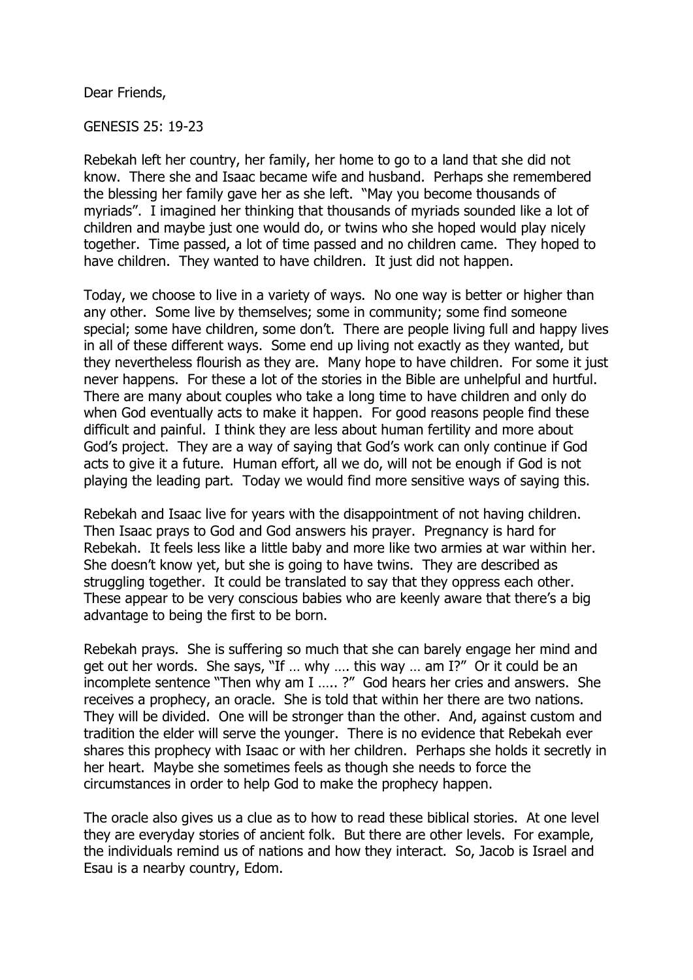Dear Friends,

GENESIS 25: 19-23

Rebekah left her country, her family, her home to go to a land that she did not know. There she and Isaac became wife and husband. Perhaps she remembered the blessing her family gave her as she left. "May you become thousands of myriads". I imagined her thinking that thousands of myriads sounded like a lot of children and maybe just one would do, or twins who she hoped would play nicely together. Time passed, a lot of time passed and no children came. They hoped to have children. They wanted to have children. It just did not happen.

Today, we choose to live in a variety of ways. No one way is better or higher than any other. Some live by themselves; some in community; some find someone special; some have children, some don't. There are people living full and happy lives in all of these different ways. Some end up living not exactly as they wanted, but they nevertheless flourish as they are. Many hope to have children. For some it just never happens. For these a lot of the stories in the Bible are unhelpful and hurtful. There are many about couples who take a long time to have children and only do when God eventually acts to make it happen. For good reasons people find these difficult and painful. I think they are less about human fertility and more about God's project. They are a way of saying that God's work can only continue if God acts to give it a future. Human effort, all we do, will not be enough if God is not playing the leading part. Today we would find more sensitive ways of saying this.

Rebekah and Isaac live for years with the disappointment of not having children. Then Isaac prays to God and God answers his prayer. Pregnancy is hard for Rebekah. It feels less like a little baby and more like two armies at war within her. She doesn't know yet, but she is going to have twins. They are described as struggling together. It could be translated to say that they oppress each other. These appear to be very conscious babies who are keenly aware that there's a big advantage to being the first to be born.

Rebekah prays. She is suffering so much that she can barely engage her mind and get out her words. She says, "If … why …. this way … am I?" Or it could be an incomplete sentence "Then why am I ….. ?" God hears her cries and answers. She receives a prophecy, an oracle. She is told that within her there are two nations. They will be divided. One will be stronger than the other. And, against custom and tradition the elder will serve the younger. There is no evidence that Rebekah ever shares this prophecy with Isaac or with her children. Perhaps she holds it secretly in her heart. Maybe she sometimes feels as though she needs to force the circumstances in order to help God to make the prophecy happen.

The oracle also gives us a clue as to how to read these biblical stories. At one level they are everyday stories of ancient folk. But there are other levels. For example, the individuals remind us of nations and how they interact. So, Jacob is Israel and Esau is a nearby country, Edom.